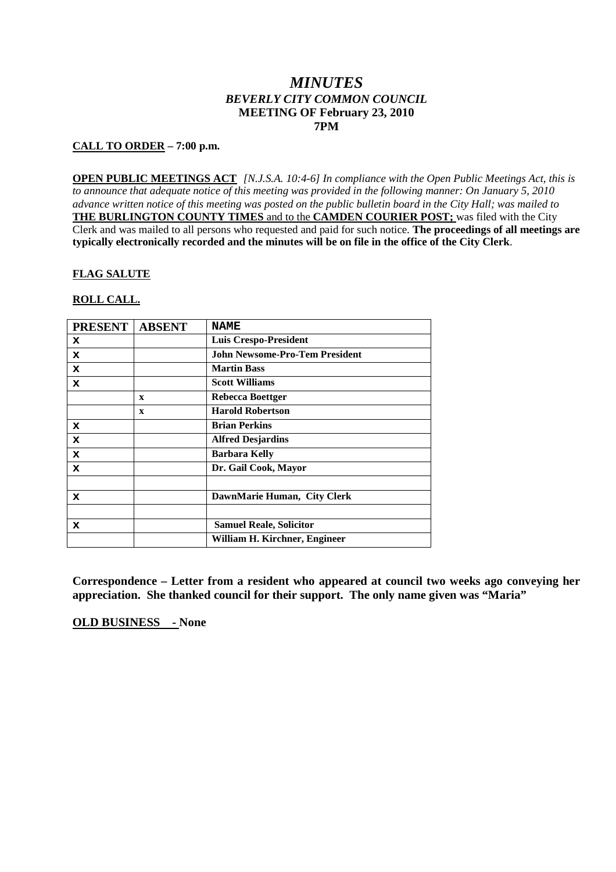# *MINUTES BEVERLY CITY COMMON COUNCIL* **MEETING OF February 23, 2010 7PM**

## **CALL TO ORDER – 7:00 p.m.**

**OPEN PUBLIC MEETINGS ACT** *[N.J.S.A. 10:4-6] In compliance with the Open Public Meetings Act, this is to announce that adequate notice of this meeting was provided in the following manner: On January 5, 2010 advance written notice of this meeting was posted on the public bulletin board in the City Hall; was mailed to* **THE BURLINGTON COUNTY TIMES** and to the **CAMDEN COURIER POST;** was filed with the City Clerk and was mailed to all persons who requested and paid for such notice. **The proceedings of all meetings are typically electronically recorded and the minutes will be on file in the office of the City Clerk**.

## **FLAG SALUTE**

## **ROLL CALL.**

| <b>PRESENT</b> | <b>ABSENT</b> | <b>NAME</b>                    |
|----------------|---------------|--------------------------------|
| x              |               | <b>Luis Crespo-President</b>   |
| x              |               | John Newsome-Pro-Tem President |
| x              |               | <b>Martin Bass</b>             |
| x              |               | <b>Scott Williams</b>          |
|                | $\mathbf{x}$  | Rebecca Boettger               |
|                | $\mathbf x$   | <b>Harold Robertson</b>        |
| x              |               | <b>Brian Perkins</b>           |
| x              |               | <b>Alfred Desjardins</b>       |
| x              |               | <b>Barbara Kelly</b>           |
| x              |               | Dr. Gail Cook, Mayor           |
|                |               |                                |
| x              |               | DawnMarie Human, City Clerk    |
|                |               |                                |
| x              |               | <b>Samuel Reale, Solicitor</b> |
|                |               | William H. Kirchner, Engineer  |

**Correspondence – Letter from a resident who appeared at council two weeks ago conveying her appreciation. She thanked council for their support. The only name given was "Maria"**

**OLD BUSINESS - None**